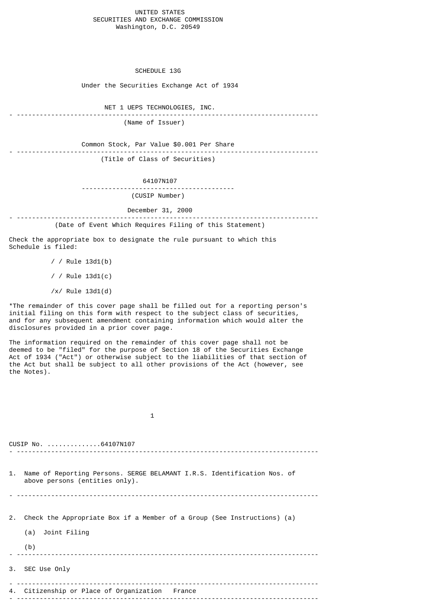#### UNITED STATES SECURITIES AND EXCHANGE COMMISSION Washington, D.C. 20549

SCHEDULE 13G

Under the Securities Exchange Act of 1934

NET 1 UEPS TECHNOLOGIES, INC.

- ------------------------------------------------------------------------------- (Name of Issuer)

- -------------------------------------------------------------------------------

Common Stock, Par Value \$0.001 Per Share

(Title of Class of Securities)

64107N107

 ---------------------------------------- (CUSIP Number)

December 31, 2000

- ------------------------------------------------------------------------------- (Date of Event Which Requires Filing of this Statement)

Check the appropriate box to designate the rule pursuant to which this Schedule is filed:

> / / Rule 13d1(b) / / Rule 13d1(c)

 $/x/$  Rule 13d1(d)

\*The remainder of this cover page shall be filled out for a reporting person's initial filing on this form with respect to the subject class of securities, and for any subsequent amendment containing information which would alter the disclosures provided in a prior cover page.

The information required on the remainder of this cover page shall not be deemed to be "filed" for the purpose of Section 18 of the Securities Exchange Act of 1934 ("Act") or otherwise subject to the liabilities of that section of the Act but shall be subject to all other provisions of the Act (however, see the Notes).

 $\sim$  1 CUSIP No. ..............64107N107 - ------------------------------------------------------------------------------- 1. Name of Reporting Persons. SERGE BELAMANT I.R.S. Identification Nos. of above persons (entities only). - -------------------------------------------------------------------------------

2. Check the Appropriate Box if a Member of a Group (See Instructions) (a)

(a) Joint Filing

 (b) - -------------------------------------------------------------------------------

3. SEC Use Only

- ------------------------------------------------------------------------------- 4. Citizenship or Place of Organization France

- -------------------------------------------------------------------------------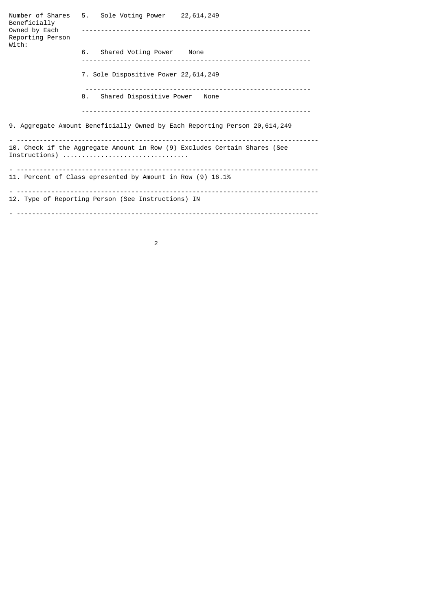Number of Shares 5. Sole Voting Power 22,614,249 Beneficially<br>Owned by Each Owned by Each ------------------------------------------------------------ Reporting Person With: 6. Shared Voting Power None ------------------------------------------------------------ 7. Sole Dispositive Power 22,614,249 ----------------------------------------------------------- 8. Shared Dispositive Power None ------------------------------------------------------------ 9. Aggregate Amount Beneficially Owned by Each Reporting Person 20,614,249 - ------------------------------------------------------------------------------- 10. Check if the Aggregate Amount in Row (9) Excludes Certain Shares (See Instructions) ................................. - ------------------------------------------------------------------------------- 11. Percent of Class epresented by Amount in Row (9) 16.1% - ------------------------------------------------------------------------------- 12. Type of Reporting Person (See Instructions) IN - -------------------------------------------------------------------------------

2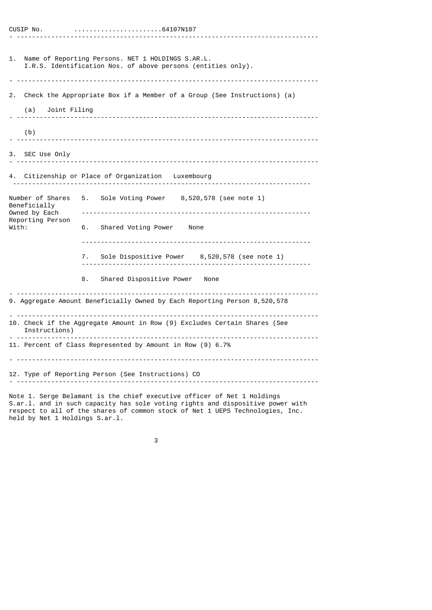#### CUSIP No. .......................64107N107 - -------------------------------------------------------------------------------

|  | 64107N107. |  |  |
|--|------------|--|--|
|--|------------|--|--|

| 1.                                                                             | Name of Reporting Persons. NET 1 HOLDINGS S.AR.L.<br>I.R.S. Identification Nos. of above persons (entities only).                                                        |  |  |  |
|--------------------------------------------------------------------------------|--------------------------------------------------------------------------------------------------------------------------------------------------------------------------|--|--|--|
| 2.<br>(a) Joint Filing                                                         | Check the Appropriate Box if a Member of a Group (See Instructions) (a)                                                                                                  |  |  |  |
| (b)                                                                            |                                                                                                                                                                          |  |  |  |
| 3. SEC Use Only                                                                |                                                                                                                                                                          |  |  |  |
|                                                                                | 4. Citizenship or Place of Organization Luxembourg                                                                                                                       |  |  |  |
| Number of Shares<br>Beneficially<br>Owned by Each<br>Reporting Person<br>With: | Sole Voting Power 8,520,578 (see note 1)<br>5.<br>6. Shared Voting Power None<br>7. Sole Dispositive Power 8,520,578 (see note 1)<br>Shared Dispositive Power None<br>8. |  |  |  |
| 9. Aggregate Amount Beneficially Owned by Each Reporting Person 8,520,578      |                                                                                                                                                                          |  |  |  |
| Instructions)                                                                  | 10. Check if the Aggregate Amount in Row (9) Excludes Certain Shares (See                                                                                                |  |  |  |
|                                                                                | 11. Percent of Class Represented by Amount in Row (9) 6.7%                                                                                                               |  |  |  |
| 12. Type of Reporting Person (See Instructions) CO                             |                                                                                                                                                                          |  |  |  |

Note 1. Serge Belamant is the chief executive officer of Net 1 Holdings S.ar.l. and in such capacity has sole voting rights and dispositive power with respect to all of the shares of common stock of Net 1 UEPS Technologies, Inc. held by Net 1 Holdings S.ar.l.

3 and 20 and 20 and 20 and 20 and 3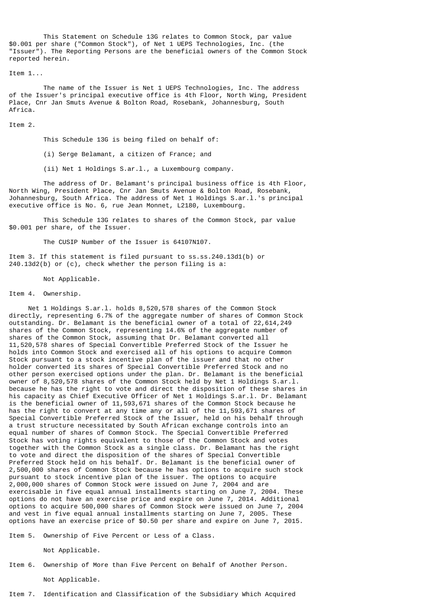This Statement on Schedule 13G relates to Common Stock, par value \$0.001 per share ("Common Stock"), of Net 1 UEPS Technologies, Inc. (the "Issuer"). The Reporting Persons are the beneficial owners of the Common Stock reported herein.

#### Item 1...

 The name of the Issuer is Net 1 UEPS Technologies, Inc. The address of the Issuer's principal executive office is 4th Floor, North Wing, President Place, Cnr Jan Smuts Avenue & Bolton Road, Rosebank, Johannesburg, South Africa.

#### Item 2.

This Schedule 13G is being filed on behalf of:

(i) Serge Belamant, a citizen of France; and

(ii) Net 1 Holdings S.ar.l., a Luxembourg company.

 The address of Dr. Belamant's principal business office is 4th Floor, North Wing, President Place, Cnr Jan Smuts Avenue & Bolton Road, Rosebank, Johannesburg, South Africa. The address of Net 1 Holdings S.ar.l.'s principal executive office is No. 6, rue Jean Monnet, L2180, Luxembourg.

 This Schedule 13G relates to shares of the Common Stock, par value \$0.001 per share, of the Issuer.

The CUSIP Number of the Issuer is 64107N107.

Item 3. If this statement is filed pursuant to ss.ss.240.13d1(b) or 240.13d2(b) or (c), check whether the person filing is a:

Not Applicable.

#### Item 4. Ownership.

 Net 1 Holdings S.ar.l. holds 8,520,578 shares of the Common Stock directly, representing 6.7% of the aggregate number of shares of Common Stock outstanding. Dr. Belamant is the beneficial owner of a total of 22,614,249 shares of the Common Stock, representing 14.6% of the aggregate number of shares of the Common Stock, assuming that Dr. Belamant converted all 11,520,578 shares of Special Convertible Preferred Stock of the Issuer he holds into Common Stock and exercised all of his options to acquire Common Stock pursuant to a stock incentive plan of the issuer and that no other holder converted its shares of Special Convertible Preferred Stock and no other person exercised options under the plan. Dr. Belamant is the beneficial owner of 8,520,578 shares of the Common Stock held by Net 1 Holdings S.ar.l. because he has the right to vote and direct the disposition of these shares in his capacity as Chief Executive Officer of Net 1 Holdings S.ar.l. Dr. Belamant is the beneficial owner of 11,593,671 shares of the Common Stock because he has the right to convert at any time any or all of the 11,593,671 shares of Special Convertible Preferred Stock of the Issuer, held on his behalf through a trust structure necessitated by South African exchange controls into an equal number of shares of Common Stock. The Special Convertible Preferred Stock has voting rights equivalent to those of the Common Stock and votes together with the Common Stock as a single class. Dr. Belamant has the right to vote and direct the disposition of the shares of Special Convertible Preferred Stock held on his behalf. Dr. Belamant is the beneficial owner of 2,500,000 shares of Common Stock because he has options to acquire such stock pursuant to stock incentive plan of the issuer. The options to acquire 2,000,000 shares of Common Stock were issued on June 7, 2004 and are exercisable in five equal annual installments starting on June 7, 2004. These options do not have an exercise price and expire on June 7, 2014. Additional options to acquire 500,000 shares of Common Stock were issued on June 7, 2004 and vest in five equal annual installments starting on June 7, 2005. These options have an exercise price of \$0.50 per share and expire on June 7, 2015.

Item 5. Ownership of Five Percent or Less of a Class.

Not Applicable.

Item 6. Ownership of More than Five Percent on Behalf of Another Person.

Not Applicable.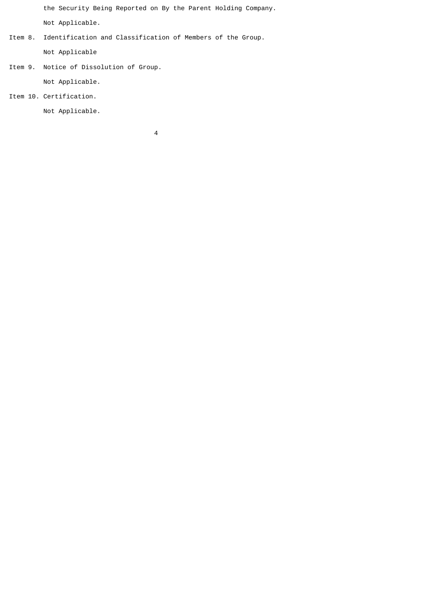the Security Being Reported on By the Parent Holding Company.

Not Applicable.

Item 8. Identification and Classification of Members of the Group.

Not Applicable

Item 9. Notice of Dissolution of Group.

Not Applicable.

Item 10. Certification.

Not Applicable.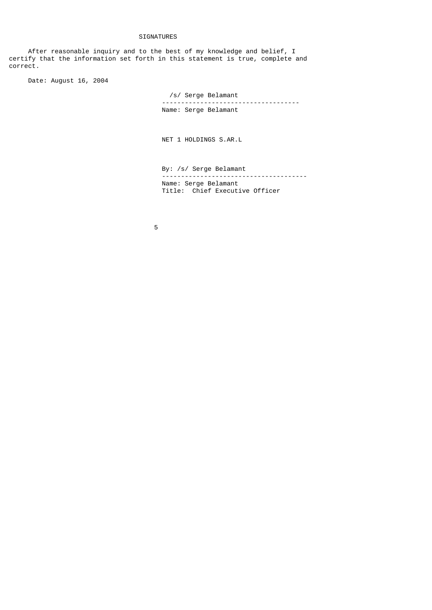## SIGNATURES

 After reasonable inquiry and to the best of my knowledge and belief, I certify that the information set forth in this statement is true, complete and correct.

Date: August 16, 2004

 /s/ Serge Belamant ------------------------------------ Name: Serge Belamant

NET 1 HOLDINGS S.AR.L

 By: /s/ Serge Belamant -------------------------------------- Name: Serge Belamant Title: Chief Executive Officer

the contract of the contract of the contract of the contract of the contract of the contract of the contract o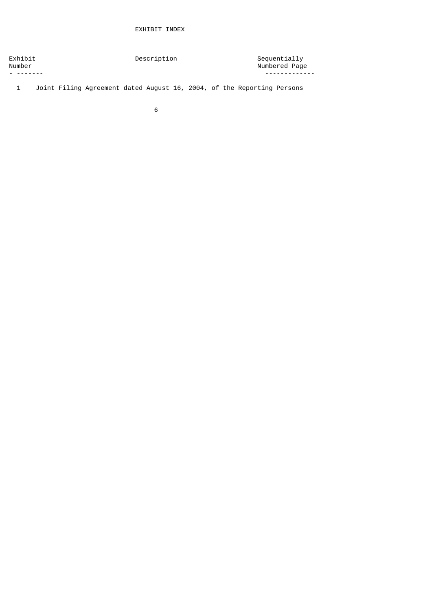# EXHIBIT INDEX

| Exhibit<br>Number | Description | Sequentially<br>Numbered Page |
|-------------------|-------------|-------------------------------|
| - --------        |             |                               |

1 Joint Filing Agreement dated August 16, 2004, of the Reporting Persons

 $\sim$  6